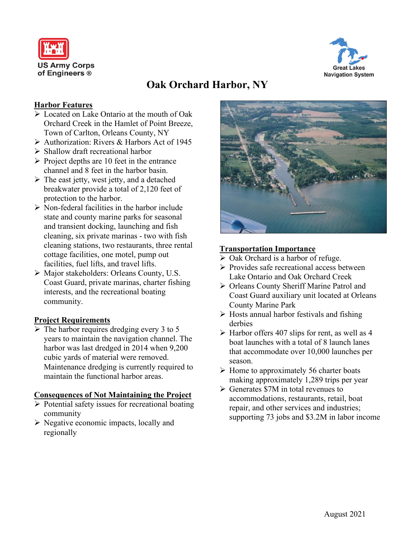



# **Oak Orchard Harbor, NY**

## **Harbor Features**

- **Example 2** Located on Lake Ontario at the mouth of Oak Orchard Creek in the Hamlet of Point Breeze, Town of Carlton, Orleans County, NY
- Authorization: Rivers & Harbors Act of 1945
- $\triangleright$  Shallow draft recreational harbor
- $\triangleright$  Project depths are 10 feet in the entrance channel and 8 feet in the harbor basin.
- $\triangleright$  The east jetty, west jetty, and a detached breakwater provide a total of 2,120 feet of protection to the harbor.
- $\triangleright$  Non-federal facilities in the harbor include state and county marine parks for seasonal and transient docking, launching and fish cleaning, six private marinas - two with fish cleaning stations, two restaurants, three rental cottage facilities, one motel, pump out facilities, fuel lifts, and travel lifts.
- Major stakeholders: Orleans County, U.S. Coast Guard, private marinas, charter fishing interests, and the recreational boating community.

## **Project Requirements**

 $\triangleright$  The harbor requires dredging every 3 to 5 years to maintain the navigation channel. The harbor was last dredged in 2014 when 9,200 cubic yards of material were removed. Maintenance dredging is currently required to maintain the functional harbor areas.

#### **Consequences of Not Maintaining the Project**

- $\triangleright$  Potential safety issues for recreational boating community
- $\triangleright$  Negative economic impacts, locally and regionally



#### **Transportation Importance**

- $\triangleright$  Oak Orchard is a harbor of refuge.
- $\triangleright$  Provides safe recreational access between Lake Ontario and Oak Orchard Creek
- Orleans County Sheriff Marine Patrol and Coast Guard auxiliary unit located at Orleans County Marine Park
- $\triangleright$  Hosts annual harbor festivals and fishing derbies
- $\triangleright$  Harbor offers 407 slips for rent, as well as 4 boat launches with a total of 8 launch lanes that accommodate over 10,000 launches per season.
- $\triangleright$  Home to approximately 56 charter boats making approximately 1,289 trips per year
- $\triangleright$  Generates \$7M in total revenues to accommodations, restaurants, retail, boat repair, and other services and industries; supporting 73 jobs and \$3.2M in labor income